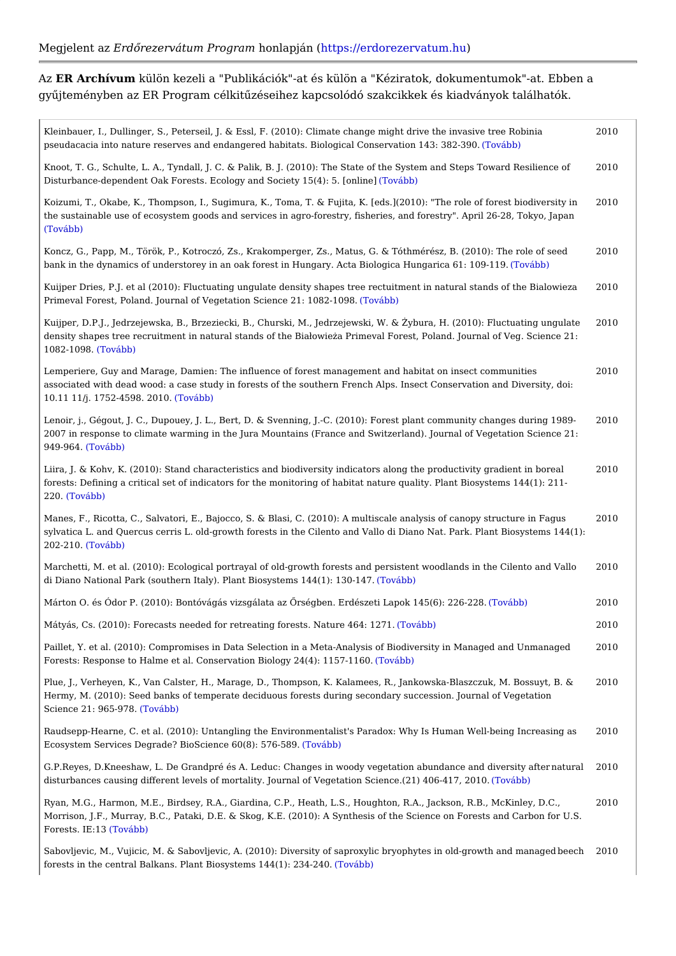AzER Archívu mülön kezeli a "Publikációk"-at és külön a "Kéziratok, dokumentumok gyqjteményben az ER Program célkitqzéseihez kapcsolódó szakcikkek és kiadvány

| Kleinbauer, I., Dullinger, S., Peterseil, J. & Essl, F. (2010): Climate change might drive 2010<br>pseudacacia into nature reserves and endangered habitats. Biological (CToows about) ation 143                                    | $ v$ as $i$ $v$ $e$<br>90. |
|-------------------------------------------------------------------------------------------------------------------------------------------------------------------------------------------------------------------------------------|----------------------------|
| Knoot, T. G., Schulte, L. A., Tyndall, J. C. & Palik, B. J. (2010): The State of the Syste 2010<br>Disturbance-dependent Oak Forests. Ecology and Soci(eTtgv \$5(4): 5. [online]                                                    | $S$ teps                   |
| Koizumi, T., Okabe, K., Thompson, I., Sugimura, K., Toma, T. & Fujita, K. [eds.](2010): 2010<br>the sustainable use of ecosystem goods and services in agro-forestry, fisheries, and fo<br>(Tovább)                                 | ble of<br>April            |
| Koncz, G., Papp, M., Török, P., Kotroczó, Zs., Krakomperger, Zs., Matus, G. & Tóthmér 2010<br>bank in the dynamics of understorey in an oak forest in Hungary. Acta Biolótjóoraí bhu ngar                                           | (2010)<br>$109 - 1$        |
| Kuijper Dries, P.J. et al (2010): Fluctuating ungulate density shapes tree rectuitment ir 2010<br>Primeval Forest, Poland. Journal of Vegetation ScieThoreáBb) 1082-1098.                                                           | I stan                     |
| Kuijper, D.P.J., Jedrzejewska, B., Brzeziecki, B., Churski, M., Jedrzejewski, W. & {ybur 2010<br>density shapes tree recruitment in natural stands of the BiaBowie a Primeval Forest, Pc<br>$1082 - 109(8 \cdot 6 \cdot 6 \cdot 6)$ | $2010$ :<br>ournal         |
| Lemperiere, Guy and Marage, Damien: The influence of forest management and habitat (2010<br>associated with dead wood: a case study in forests of the southern French Alps. Insect<br>10.11 11/j. 1752-4598,To2\0alb0b)             | $ $ t com<br>$v$ ation     |
| Lenoir, j., Gégout, J. C., Dupouey, J. L., Bert, D. & Svenning, J.-C. (2010): Forest plan 2010<br>2007 in response to climate warming in the Jura Mountains (France and Switzerland). Jo<br>$949 - 96$ ( $0$ vább)                  | unity o<br>$b$ f Vege      |
| Liira, J. & Kohv, K. (2010): Stand characteristics and biodiversity indicators along the 2010<br>forests: Defining a critical set of indicators for the monitoring of habitat nature quality<br>220 (To vább)                       | ivity g<br>Biosys          |
| Manes, F., Ricotta, C., Salvatori, E., Bajocco, S. & Blasi, C. (2010): A multiscale analy 2010<br>sylvatica L. and Quercus cerris L. old-growth forests in the Cilento and Vallo di Diano I<br>$202 - 210$ Tovább)                  | tan<br>$rk.$ Pla           |
| Marchetti, M. et al. (2010): Ecological portrayal of old-growth forests and persistent wc 2010 s in th<br>di Diano National Park (southern Italy). Plant Biosyst(eTmosv atb4b4)(1): 130-147.                                        |                            |
| Márton O. és Ódor P. (2010): Bontóvágás vizsgálata az Prségben. Erdé§ <b>Ze</b> tMábapok 145(2010                                                                                                                                   | $-228.$                    |
| Mátyás, Cs. (2010): Forecasts needed for retreating fore to a Natture 464: 1271.<br>2010                                                                                                                                            |                            |
| Paillet, Y. et al. (2010): Compromises in Data Selection in a Meta-Analysis of Biodivers 2010<br>Forests: Response to Halme et al. Conservation Biolo(gTyo 2441(4): 1157-1160.                                                      | <b>Manage</b>              |
| Plue, J., Verheyen, K., Van Calster, H., Marage, D., Thompson, K. Kalamees, R., Janko 2010<br>Hermy, M. (2010): Seed banks of temperate deciduous forests during secondary success<br>Science 21: 965(-T9o7v8ább)                   | aszczu<br>urnal            |
| Raudsepp-Hearne, C. et al. (2010): Untangling the Environmentalist's Paradox: Why Is   2010<br>Ecosystem Services Degrade? BioScience (60 (08) b576-589.                                                                            | $W$ ell-b                  |
| G.P.Reyes, D.Kneeshaw, L. De Grandpré és A. Leduc: Changes in woody vegetatiomataubra 2010<br>disturbances causing different levels of mortality. Journal of Vegetation (TScoiébbe. (21) 4                                          | and di<br>2010.            |
| Ryan, M.G., Harmon, M.E., Birdsey, R.A., Giardina, C.P., Heath, L.S., Houghton, R.A., 2010<br>Morrison, J.F., Murray, B.C., Pataki, D.E. & Skog, K.E. (2010): A Synthesis of the Sciel<br>Forests. IE(TIGNabb)                      | , R.B.<br>Forest           |
| Sabovljevic, M., Vujicic, M. & Sabovljevic, A. (2010): Diversity of saproxylic bryoptheyetek 2010<br>forests in the central Balkans. Plant Biosystem(sTdv4a4l(b): 234-240.                                                          | growt                      |